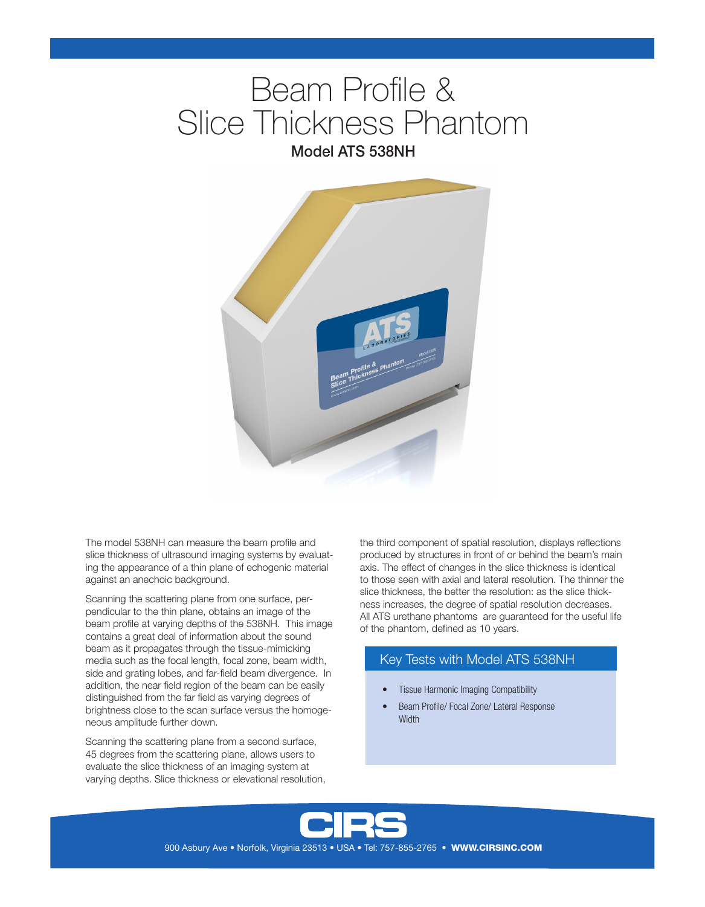# Beam Profile & Slice Thickness Phantom Model ATS 538NH



The model 538NH can measure the beam profile and slice thickness of ultrasound imaging systems by evaluating the appearance of a thin plane of echogenic material against an anechoic background.

Scanning the scattering plane from one surface, perpendicular to the thin plane, obtains an image of the beam profile at varying depths of the 538NH. This image contains a great deal of information about the sound beam as it propagates through the tissue-mimicking media such as the focal length, focal zone, beam width, side and grating lobes, and far-field beam divergence. In addition, the near field region of the beam can be easily distinguished from the far field as varying degrees of brightness close to the scan surface versus the homogeneous amplitude further down.

Scanning the scattering plane from a second surface, 45 degrees from the scattering plane, allows users to evaluate the slice thickness of an imaging system at varying depths. Slice thickness or elevational resolution, the third component of spatial resolution, displays reflections produced by structures in front of or behind the beam's main axis. The effect of changes in the slice thickness is identical to those seen with axial and lateral resolution. The thinner the slice thickness, the better the resolution: as the slice thickness increases, the degree of spatial resolution decreases. All ATS urethane phantoms are guaranteed for the useful life of the phantom, defined as 10 years.

## Key Tests with Model ATS 538NH

- Tissue Harmonic Imaging Compatibility
- Beam Profile/ Focal Zone/ Lateral Response **Width**